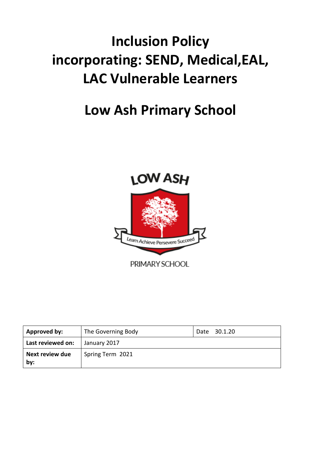# **Inclusion Policy incorporating: SEND, Medical,EAL, LAC Vulnerable Learners**

## **Low Ash Primary School**



| Approved by:           | The Governing Body | Date 30.1.20 |
|------------------------|--------------------|--------------|
| Last reviewed on:      | January 2017       |              |
| Next review due<br>by: | Spring Term 2021   |              |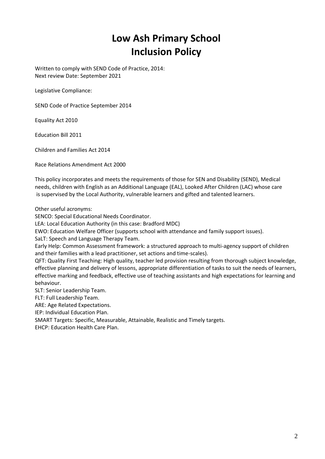### **Low Ash Primary School Inclusion Policy**

Written to comply with SEND Code of Practice, 2014: Next review Date: September 2021

Legislative Compliance:

SEND Code of Practice September 2014

Equality Act 2010

Education Bill 2011

Children and Families Act 2014

Race Relations Amendment Act 2000

This policy incorporates and meets the requirements of those for SEN and Disability (SEND), Medical needs, children with English as an Additional Language (EAL), Looked After Children (LAC) whose care is supervised by the Local Authority, vulnerable learners and gifted and talented learners.

Other useful acronyms:

SENCO: Special Educational Needs Coordinator.

LEA: Local Education Authority (in this case: Bradford MDC)

EWO: Education Welfare Officer (supports school with attendance and family support issues).

SaLT: Speech and Language Therapy Team.

Early Help: Common Assessment framework: a structured approach to multi-agency support of children and their families with a lead practitioner, set actions and time-scales).

QFT: Quality First Teaching: High quality, teacher led provision resulting from thorough subject knowledge, effective planning and delivery of lessons, appropriate differentiation of tasks to suit the needs of learners, effective marking and feedback, effective use of teaching assistants and high expectations for learning and behaviour.

SLT: Senior Leadership Team.

FLT: Full Leadership Team.

ARE: Age Related Expectations.

IEP: Individual Education Plan.

SMART Targets: Specific, Measurable, Attainable, Realistic and Timely targets.

EHCP: Education Health Care Plan.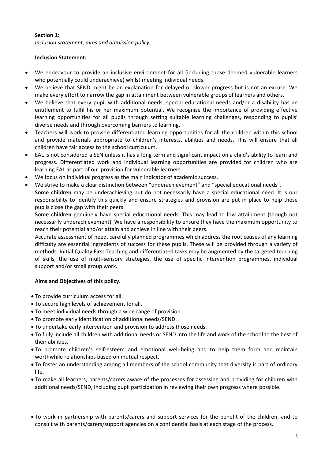#### **Section 1:**

*Inclusion statement, aims and admission policy.*

#### **Inclusion Statement:**

- We endeavour to provide an inclusive environment for all (including those deemed vulnerable learners who potentially could underachieve) whilst meeting individual needs.
- We believe that SEND might be an explanation for delayed or slower progress but is not an excuse. We make every effort to narrow the gap in attainment between vulnerable groups of learners and others.
- We believe that every pupil with additional needs, special educational needs and/or a disability has an entitlement to fulfil his or her maximum potential. We recognise the importance of providing effective learning opportunities for all pupils through setting suitable learning challenges, responding to pupils' diverse needs and through overcoming barriers to learning.
- Teachers will work to provide differentiated learning opportunities for all the children within this school and provide materials appropriate to children's interests, abilities and needs. This will ensure that all children have fair access to the school curriculum.
- EAL is not considered a SEN unless it has a long term and significant impact on a child's ability to learn and progress. Differentiated work and individual learning opportunities are provided for children who are learning EAL as part of our provision for vulnerable learners.
- We focus on individual progress as the main indicator of academic success.
- We strive to make a clear distinction between "underachievement" and "special educational needs". **Some children** may be underachieving but do not necessarily have a special educational need. It is our responsibility to identify this quickly and ensure strategies and provision are put in place to help these pupils close the gap with their peers.

**Some children** genuinely have special educational needs. This may lead to low attainment (though not necessarily underachievement). We have a responsibility to ensure they have the maximum opportunity to reach their potential and/or attain and achieve in line with their peers.

Accurate assessment of need, carefully planned programmes which address the root causes of any learning difficulty are essential ingredients of success for these pupils. These will be provided through a variety of methods. Initial Quality First Teaching and differentiated tasks may be augmented by the targeted teaching of skills, the use of multi-sensory strategies, the use of specific intervention programmes, individual support and/or small group work.

#### **Aims and Objectives of this policy.**

- To provide curriculum access for all.
- To secure high levels of achievement for all.
- To meet individual needs through a wide range of provision.
- To promote early identification of additional needs/SEND.
- To undertake early intervention and provision to address those needs.
- To fully include all children with additional needs or SEND into the life and work of the school to the best of their abilities.
- To promote children's self-esteem and emotional well-being and to help them form and maintain worthwhile relationships based on mutual respect.
- To foster an understanding among all members of the school community that diversity is part of ordinary life.
- To make all learners, parents/carers aware of the processes for assessing and providing for children with additional needs/SEND, including pupil participation in reviewing their own progress where possible.
- To work in partnership with parents/carers and support services for the benefit of the children, and to consult with parents/carers/support agencies on a confidential basis at each stage of the process.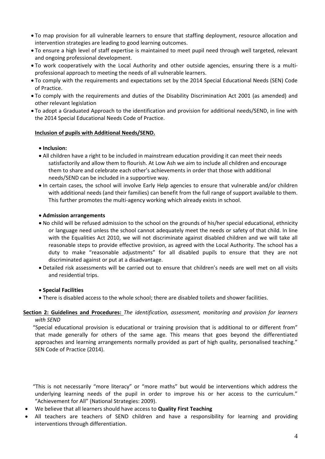- To map provision for all vulnerable learners to ensure that staffing deployment, resource allocation and intervention strategies are leading to good learning outcomes.
- To ensure a high level of staff expertise is maintained to meet pupil need through well targeted, relevant and ongoing professional development.
- To work cooperatively with the Local Authority and other outside agencies, ensuring there is a multiprofessional approach to meeting the needs of all vulnerable learners.
- To comply with the requirements and expectations set by the 2014 Special Educational Needs (SEN) Code of Practice.
- To comply with the requirements and duties of the Disability Discrimination Act 2001 (as amended) and other relevant legislation
- To adopt a Graduated Approach to the identification and provision for additional needs/SEND, in line with the 2014 Special Educational Needs Code of Practice.

#### **Inclusion of pupils with Additional Needs/SEND.**

#### **Inclusion:**

- All children have a right to be included in mainstream education providing it can meet their needs satisfactorily and allow them to flourish. At Low Ash we aim to include all children and encourage them to share and celebrate each other's achievements in order that those with additional needs/SEND can be included in a supportive way.
- In certain cases, the school will involve Early Help agencies to ensure that vulnerable and/or children with additional needs (and their families) can benefit from the full range of support available to them. This further promotes the multi-agency working which already exists in school.

#### **Admission arrangements**

- No child will be refused admission to the school on the grounds of his/her special educational, ethnicity or language need unless the school cannot adequately meet the needs or safety of that child. In line with the Equalities Act 2010, we will not discriminate against disabled children and we will take all reasonable steps to provide effective provision, as agreed with the Local Authority. The school has a duty to make "reasonable adjustments" for all disabled pupils to ensure that they are not discriminated against or put at a disadvantage.
- Detailed risk assessments will be carried out to ensure that children's needs are well met on all visits and residential trips.

#### **Special Facilities**

There is disabled access to the whole school; there are disabled toilets and shower facilities.

#### **Section 2: Guidelines and Procedures:** *The identification, assessment, monitoring and provision for learners with SEND*

 "Special educational provision is educational or training provision that is additional to or different from" that made generally for others of the same age. This means that goes beyond the differentiated approaches and learning arrangements normally provided as part of high quality, personalised teaching." SEN Code of Practice (2014).

 "This is not necessarily "more literacy" or "more maths" but would be interventions which address the underlying learning needs of the pupil in order to improve his or her access to the curriculum." "Achievement for All" (National Strategies: 2009).

- We believe that all learners should have access to **Quality First Teaching**
- All teachers are teachers of SEND children and have a responsibility for learning and providing interventions through differentiation.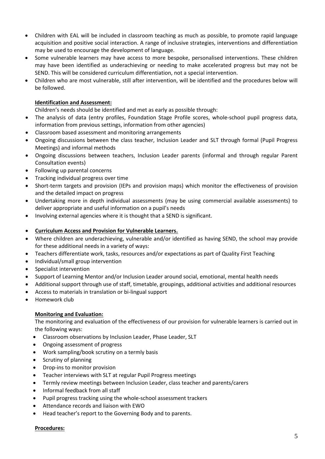- Children with EAL will be included in classroom teaching as much as possible, to promote rapid language acquisition and positive social interaction. A range of inclusive strategies, interventions and differentiation may be used to encourage the development of language.
- Some vulnerable learners may have access to more bespoke, personalised interventions. These children may have been identified as underachieving or needing to make accelerated progress but may not be SEND. This will be considered curriculum differentiation, not a special intervention.
- Children who are most vulnerable, still after intervention, will be identified and the procedures below will be followed.

#### **Identification and Assessment:**

Children's needs should be identified and met as early as possible through:

- The analysis of data (entry profiles, Foundation Stage Profile scores, whole-school pupil progress data, information from previous settings, information from other agencies)
- Classroom based assessment and monitoring arrangements
- Ongoing discussions between the class teacher, Inclusion Leader and SLT through formal (Pupil Progress Meetings) and informal methods
- Ongoing discussions between teachers, Inclusion Leader parents (informal and through regular Parent Consultation events)
- Following up parental concerns
- Tracking individual progress over time
- Short-term targets and provision (IEPs and provision maps) which monitor the effectiveness of provision and the detailed impact on progress
- Undertaking more in depth individual assessments (may be using commercial available assessments) to deliver appropriate and useful information on a pupil's needs
- Involving external agencies where it is thought that a SEND is significant.

#### **Curriculum Access and Provision for Vulnerable Learners.**

- Where children are underachieving, vulnerable and/or identified as having SEND, the school may provide for these additional needs in a variety of ways:
- Teachers differentiate work, tasks, resources and/or expectations as part of Quality First Teaching
- Individual/small group intervention
- Specialist intervention
- Support of Learning Mentor and/or Inclusion Leader around social, emotional, mental health needs
- Additional support through use of staff, timetable, groupings, additional activities and additional resources
- Access to materials in translation or bi-lingual support
- Homework club

#### **Monitoring and Evaluation:**

The monitoring and evaluation of the effectiveness of our provision for vulnerable learners is carried out in the following ways:

- Classroom observations by Inclusion Leader, Phase Leader, SLT
- Ongoing assessment of progress
- Work sampling/book scrutiny on a termly basis
- Scrutiny of planning
- Drop-ins to monitor provision
- Teacher interviews with SLT at regular Pupil Progress meetings
- Termly review meetings between Inclusion Leader, class teacher and parents/carers
- Informal feedback from all staff
- Pupil progress tracking using the whole-school assessment trackers
- Attendance records and liaison with EWO
- Head teacher's report to the Governing Body and to parents.

#### **Procedures:**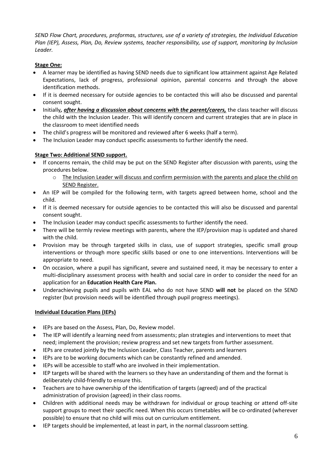*SEND Flow Chart, procedures, proformas, structures, use of a variety of strategies, the Individual Education Plan (IEP), Assess, Plan, Do, Review systems, teacher responsibility, use of support, monitoring by Inclusion Leader.*

#### **Stage One:**

- A learner may be identified as having SEND needs due to significant low attainment against Age Related Expectations, lack of progress, professional opinion, parental concerns and through the above identification methods.
- If it is deemed necessary for outside agencies to be contacted this will also be discussed and parental consent sought.
- Initially*, after having a discussion about concerns with the parent/carers,* the class teacher will discuss the child with the Inclusion Leader. This will identify concern and current strategies that are in place in the classroom to meet identified needs
- The child's progress will be monitored and reviewed after 6 weeks (half a term).
- The Inclusion Leader may conduct specific assessments to further identify the need.

#### **Stage Two: Additional SEND support.**

- If concerns remain, the child may be put on the SEND Register after discussion with parents, using the procedures below.
	- o The Inclusion Leader will discuss and confirm permission with the parents and place the child on SEND Register.
- An IEP will be compiled for the following term, with targets agreed between home, school and the child.
- If it is deemed necessary for outside agencies to be contacted this will also be discussed and parental consent sought.
- The Inclusion Leader may conduct specific assessments to further identify the need.
- There will be termly review meetings with parents, where the IEP/provision map is updated and shared with the child.
- Provision may be through targeted skills in class, use of support strategies, specific small group interventions or through more specific skills based or one to one interventions. Interventions will be appropriate to need.
- On occasion, where a pupil has significant, severe and sustained need, it may be necessary to enter a multi-disciplinary assessment process with health and social care in order to consider the need for an application for an **Education Health Care Plan.**
- Underachieving pupils and pupils with EAL who do not have SEND **will not** be placed on the SEND register (but provision needs will be identified through pupil progress meetings).

#### **Individual Education Plans (IEPs)**

- IEPs are based on the Assess, Plan, Do, Review model.
- The IEP will identify a learning need from assessments; plan strategies and interventions to meet that need; implement the provision; review progress and set new targets from further assessment.
- IEPs are created jointly by the Inclusion Leader, Class Teacher, parents and learners
- IEPs are to be working documents which can be constantly refined and amended.
- IEPs will be accessible to staff who are involved in their implementation.
- IEP targets will be shared with the learners so they have an understanding of them and the format is deliberately child-friendly to ensure this.
- Teachers are to have ownership of the identification of targets (agreed) and of the practical administration of provision (agreed) in their class rooms.
- Children with additional needs may be withdrawn for individual or group teaching or attend off-site support groups to meet their specific need. When this occurs timetables will be co-ordinated (wherever possible) to ensure that no child will miss out on curriculum entitlement.
- IEP targets should be implemented, at least in part, in the normal classroom setting.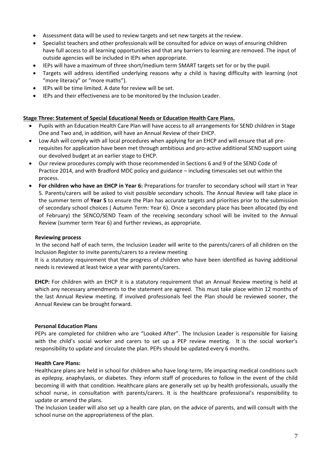- Assessment data will be used to review targets and set new targets at the review.
- Specialist teachers and other professionals will be consulted for advice on ways of ensuring children have full access to all learning opportunities and that any barriers to learning are removed. The input of outside agencies will be included in IEPs when appropriate.
- IEPs will have a maximum of three short/medium term SMART targets set for or by the pupil.
- Targets will address identified underlying reasons why a child is having difficulty with learning (not "more literacy" or "more maths").
- IEPs will be time limited. A date for review will be set.
- IEPs and their effectiveness are to be monitored by the Inclusion Leader.

#### **Stage Three: Statement of Special Educational Needs or Education Health Care Plans.**

- Pupils with an Education Health Care Plan will have access to all arrangements for SEND children in Stage One and Two and, in addition, will have an Annual Review of their EHCP.
- Low Ash will comply with all local procedures when applying for an EHCP and will ensure that all prerequisites for application have been met through ambitious and pro-active additional SEND support using our devolved budget at an earlier stage to EHCP.
- Our review procedures comply with those recommended in Sections 6 and 9 of the SEND Code of Practice 2014, and with Bradford MDC policy and guidance – including timescales set out within the process.
- **For children who have an EHCP in Year 6:** Preparations for transfer to secondary school will start in Year 5. Parents/carers will be asked to visit possible secondary schools. The Annual Review will take place in the summer term of **Year 5** to ensure the Plan has accurate targets and priorities prior to the submission of secondary school choices ( Autumn Term: Year 6). Once a secondary place has been allocated (by end of February) the SENCO/SEND Team of the receiving secondary school will be invited to the Annual Review (summer term Year 6) and further reviews, as appropriate.

#### **Reviewing process**

 In the second half of each term, the Inclusion Leader will write to the parents/carers of all children on the Inclusion Register to invite parents/carers to a review meeting

It is a statutory requirement that the progress of children who have been identified as having additional needs is reviewed at least twice a year with parents/carers.

**EHCP:** For children with an EHCP it is a statutory requirement that an Annual Review meeting is held at which any necessary amendments to the statement are agreed. This must take place within 12 months of the last Annual Review meeting. If involved professionals feel the Plan should be reviewed sooner, the Annual Review can be brought forward.

#### **Personal Education Plans**

PEPs are completed for children who are "Looked After". The Inclusion Leader is responsible for liaising with the child's social worker and carers to set up a PEP review meeting. It is the social worker's responsibility to update and circulate the plan. PEPs should be updated every 6 months.

#### **Health Care Plans:**

Healthcare plans are held in school for children who have long-term, life impacting medical conditions such as epilepsy, anaphylaxis, or diabetes. They inform staff of procedures to follow in the event of the child becoming ill with that condition. Healthcare plans are generally set up by health professionals, usually the school nurse, in consultation with parents/carers. It is the healthcare professional's responsibility to update or amend the plans.

The Inclusion Leader will also set up a health care plan, on the advice of parents, and will consult with the school nurse on the appropriateness of the plan.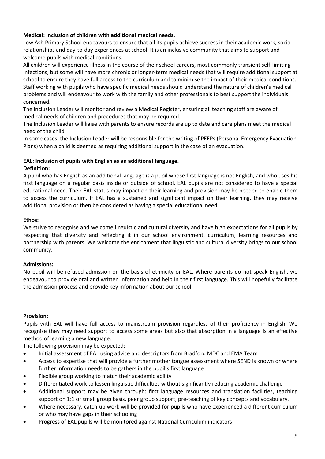#### **Medical: Inclusion of children with additional medical needs.**

Low Ash Primary School endeavours to ensure that all its pupils achieve success in their academic work, social relationships and day-to-day experiences at school. It is an inclusive community that aims to support and welcome pupils with medical conditions.

All children will experience illness in the course of their school careers, most commonly transient self-limiting infections, but some will have more chronic or longer-term medical needs that will require additional support at school to ensure they have full access to the curriculum and to minimise the impact of their medical conditions. Staff working with pupils who have specific medical needs should understand the nature of children's medical problems and will endeavour to work with the family and other professionals to best support the individuals concerned.

The Inclusion Leader will monitor and review a Medical Register, ensuring all teaching staff are aware of medical needs of children and procedures that may be required.

The Inclusion Leader will liaise with parents to ensure records are up to date and care plans meet the medical need of the child.

In some cases, the Inclusion Leader will be responsible for the writing of PEEPs (Personal Emergency Evacuation Plans) when a child is deemed as requiring additional support in the case of an evacuation.

#### **EAL: Inclusion of pupils with English as an additional language.**

#### **Definition:**

A pupil who has English as an additional language is a pupil whose first language is not English, and who uses his first language on a regular basis inside or outside of school. EAL pupils are not considered to have a special educational need. Their EAL status may impact on their learning and provision may be needed to enable them to access the curriculum. If EAL has a sustained and significant impact on their learning, they may receive additional provision or then be considered as having a special educational need.

#### **Ethos:**

We strive to recognise and welcome linguistic and cultural diversity and have high expectations for all pupils by respecting that diversity and reflecting it in our school environment, curriculum, learning resources and partnership with parents. We welcome the enrichment that linguistic and cultural diversity brings to our school community.

#### **Admissions:**

No pupil will be refused admission on the basis of ethnicity or EAL. Where parents do not speak English, we endeavour to provide oral and written information and help in their first language. This will hopefully facilitate the admission process and provide key information about our school.

#### **Provision:**

Pupils with EAL will have full access to mainstream provision regardless of their proficiency in English. We recognise they may need support to access some areas but also that absorption in a language is an effective method of learning a new language.

The following provision may be expected:

- Initial assessment of EAL using advice and descriptors from Bradford MDC and EMA Team
- Access to expertise that will provide a further mother tongue assessment where SEND is known or where further information needs to be gathers in the pupil's first language
- Flexible group working to match their academic ability
- Differentiated work to lessen linguistic difficulties without significantly reducing academic challenge
- Additional support may be given through: first language resources and translation facilities, teaching support on 1:1 or small group basis, peer group support, pre-teaching of key concepts and vocabulary.
- Where necessary, catch-up work will be provided for pupils who have experienced a different curriculum or who may have gaps in their schooling
- Progress of EAL pupils will be monitored against National Curriculum indicators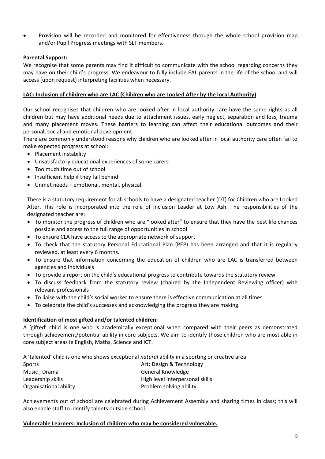Provision will be recorded and monitored for effectiveness through the whole school provision map and/or Pupil Progress meetings with SLT members.

#### **Parental Support:**

We recognise that some parents may find it difficult to communicate with the school regarding concerns they may have on their child's progress. We endeavour to fully include EAL parents in the life of the school and will access (upon request) interpreting facilities when necessary.

#### **LAC: Inclusion of children who are LAC (Children who are Looked After by the local Authority)**

Our school recognises that children who are looked after in local authority care have the same rights as all children but may have additional needs due to attachment issues, early neglect, separation and loss, trauma and many placement moves. These barriers to learning can affect their educational outcomes and their personal, social and emotional development.

There are commonly understood reasons why children who are looked after in local authority care often fail to make expected progress at school:

- Placement instability
- Unsatisfactory educational experiences of some carers
- Too much time out of school
- Insufficient help if they fall behind
- Unmet needs emotional, mental, physical.

There is a statutory requirement for all schools to have a designated teacher (DT) for Children who are Looked After. This role is incorporated into the role of Inclusion Leader at Low Ash. The responsibilities of the designated teacher are:

- To monitor the progress of children who are "looked after" to ensure that they have the best life chances possible and access to the full range of opportunities in school
- To ensure CLA have access to the appropriate network of support
- To check that the statutory Personal Educational Plan (PEP) has been arranged and that it is regularly reviewed, at least every 6 months.
- To ensure that information concerning the education of children who are LAC is transferred between agencies and individuals
- To provide a report on the child's educational progress to contribute towards the statutory review
- To discuss feedback from the statutory review (chaired by the Independent Reviewing officer) with relevant professionals
- To liaise with the child's social worker to ensure there is effective communication at all times
- To celebrate the child's successes and acknowledging the progress they are making.

#### **Identification of most gifted and/or talented children:**

A 'gifted' child is one who is academically exceptional when compared with their peers as demonstrated through achievement/potential ability in core subjects. We aim to identify those children who are most able in core subject areas ie English, Maths, Science and ICT.

A 'talented' child is one who shows exceptional *natural* ability in a sporting or creative area:

| Sports                 | Art; Design & Technology        |
|------------------------|---------------------------------|
| Music ; Drama          | General Knowledge               |
| Leadership skills      | High level interpersonal skills |
| Organisational ability | Problem solving ability         |

Achievements out of school are celebrated during Achievement Assembly and sharing times in class; this will also enable staff to identify talents outside school.

#### **Vulnerable Learners: Inclusion of children who may be considered vulnerable.**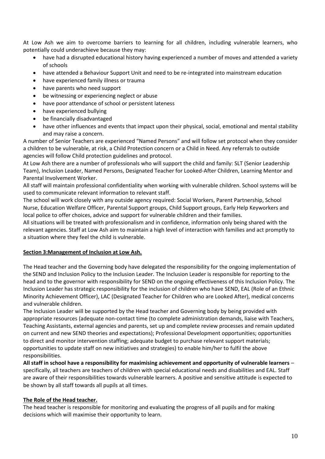At Low Ash we aim to overcome barriers to learning for all children, including vulnerable learners, who potentially could underachieve because they may:

- have had a disrupted educational history having experienced a number of moves and attended a variety of schools
- have attended a Behaviour Support Unit and need to be re-integrated into mainstream education
- have experienced family illness or trauma
- have parents who need support
- be witnessing or experiencing neglect or abuse
- have poor attendance of school or persistent lateness
- have experienced bullying
- be financially disadvantaged
- have other influences and events that impact upon their physical, social, emotional and mental stability and may raise a concern.

A number of Senior Teachers are experienced "Named Persons" and will follow set protocol when they consider a children to be vulnerable, at risk, a Child Protection concern or a Child in Need. Any referrals to outside agencies will follow Child protection guidelines and protocol.

At Low Ash there are a number of professionals who will support the child and family: SLT (Senior Leadership Team), Inclusion Leader, Named Persons, Designated Teacher for Looked-After Children, Learning Mentor and Parental Involvement Worker.

All staff will maintain professional confidentiality when working with vulnerable children. School systems will be used to communicate relevant information to relevant staff.

The school will work closely with any outside agency required: Social Workers, Parent Partnership, School Nurse, Education Welfare Officer, Parental Support groups, Child Support groups, Early Help Keyworkers and local police to offer choices, advice and support for vulnerable children and their families.

All situations will be treated with professionalism and in confidence, information only being shared with the relevant agencies. Staff at Low Ash aim to maintain a high level of interaction with families and act promptly to a situation where they feel the child is vulnerable.

#### **Section 3:Management of Inclusion at Low Ash.**

The Head teacher and the Governing body have delegated the responsibility for the ongoing implementation of the SEND and Inclusion Policy to the Inclusion Leader. The Inclusion Leader is responsible for reporting to the head and to the governor with responsibility for SEND on the ongoing effectiveness of this Inclusion Policy. The Inclusion Leader has strategic responsibility for the inclusion of children who have SEND, EAL (Role of an Ethnic Minority Achievement Officer), LAC (Designated Teacher for Children who are Looked After), medical concerns and vulnerable children.

The Inclusion Leader will be supported by the Head teacher and Governing body by being provided with appropriate resources (adequate non-contact time (to complete administration demands, liaise with Teachers, Teaching Assistants, external agencies and parents, set up and complete review processes and remain updated on current and new SEND theories and expectations); Professional Development opportunities; opportunities to direct and monitor intervention staffing; adequate budget to purchase relevant support materials; opportunities to update staff on new initiatives and strategies) to enable him/her to fulfil the above responsibilities.

**All staff in school have a responsibility for maximising achievement and opportunity of vulnerable learners** – specifically, all teachers are teachers of children with special educational needs and disabilities and EAL. Staff are aware of their responsibilities towards vulnerable learners. A positive and sensitive attitude is expected to be shown by all staff towards all pupils at all times.

#### **The Role of the Head teacher.**

The head teacher is responsible for monitoring and evaluating the progress of all pupils and for making decisions which will maximise their opportunity to learn.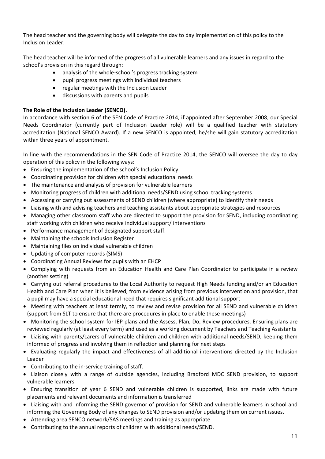The head teacher and the governing body will delegate the day to day implementation of this policy to the Inclusion Leader.

The head teacher will be informed of the progress of all vulnerable learners and any issues in regard to the school's provision in this regard through:

- analysis of the whole-school's progress tracking system
- pupil progress meetings with individual teachers
- regular meetings with the Inclusion Leader
- discussions with parents and pupils

#### **The Role of the Inclusion Leader (SENCO).**

In accordance with section 6 of the SEN Code of Practice 2014, if appointed after September 2008, our Special Needs Coordinator (currently part of Inclusion Leader role) will be a qualified teacher with statutory accreditation (National SENCO Award). If a new SENCO is appointed, he/she will gain statutory accreditation within three years of appointment.

In line with the recommendations in the SEN Code of Practice 2014, the SENCO will oversee the day to day operation of this policy in the following ways:

- Ensuring the implementation of the school's Inclusion Policy
- Coordinating provision for children with special educational needs
- The maintenance and analysis of provision for vulnerable learners
- Monitoring progress of children with additional needs/SEND using school tracking systems
- Accessing or carrying out assessments of SEND children (where appropriate) to identify their needs
- Liaising with and advising teachers and teaching assistants about appropriate strategies and resources
- Managing other classroom staff who are directed to support the provision for SEND, including coordinating staff working with children who receive individual support/ interventions
- Performance management of designated support staff.
- Maintaining the schools Inclusion Register
- Maintaining files on individual vulnerable children
- Updating of computer records (SIMS)
- Coordinating Annual Reviews for pupils with an EHCP
- Complying with requests from an Education Health and Care Plan Coordinator to participate in a review (another setting)
- Carrying out referral procedures to the Local Authority to request High Needs funding and/or an Education Health and Care Plan when it is believed, from evidence arising from previous intervention and provision, that a pupil may have a special educational need that requires significant additional support
- Meeting with teachers at least termly, to review and revise provision for all SEND and vulnerable children (support from SLT to ensure that there are procedures in place to enable these meetings)
- Monitoring the school system for IEP plans and the Assess, Plan, Do, Review procedures. Ensuring plans are reviewed regularly (at least every term) and used as a working document by Teachers and Teaching Assistants
- Liaising with parents/carers of vulnerable children and children with additional needs/SEND, keeping them informed of progress and involving them in reflection and planning for next steps
- Evaluating regularly the impact and effectiveness of all additional interventions directed by the Inclusion Leader
- Contributing to the in-service training of staff.
- Liaison closely with a range of outside agencies, including Bradford MDC SEND provision, to support vulnerable learners
- Ensuring transition of year 6 SEND and vulnerable children is supported, links are made with future placements and relevant documents and information is transferred
- Liaising with and informing the SEND governor of provision for SEND and vulnerable learners in school and informing the Governing Body of any changes to SEND provision and/or updating them on current issues.
- Attending area SENCO network/SAS meetings and training as appropriate
- Contributing to the annual reports of children with additional needs/SEND.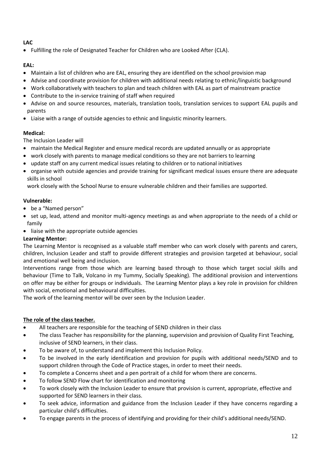#### **LAC**

• Fulfilling the role of Designated Teacher for Children who are Looked After (CLA).

#### **EAL:**

- Maintain a list of children who are EAL, ensuring they are identified on the school provision map
- Advise and coordinate provision for children with additional needs relating to ethnic/linguistic background
- Work collaboratively with teachers to plan and teach children with EAL as part of mainstream practice
- Contribute to the in-service training of staff when required
- Advise on and source resources, materials, translation tools, translation services to support EAL pupils and parents
- Liaise with a range of outside agencies to ethnic and linguistic minority learners.

#### **Medical:**

The Inclusion Leader will

- maintain the Medical Register and ensure medical records are updated annually or as appropriate
- work closely with parents to manage medical conditions so they are not barriers to learning
- update staff on any current medical issues relating to children or to national initiatives
- organise with outside agencies and provide training for significant medical issues ensure there are adequate skills in school

work closely with the School Nurse to ensure vulnerable children and their families are supported.

#### **Vulnerable:**

- be a "Named person"
- set up, lead, attend and monitor multi-agency meetings as and when appropriate to the needs of a child or family
- liaise with the appropriate outside agencies

#### **Learning Mentor:**

The Learning Mentor is recognised as a valuable staff member who can work closely with parents and carers, children, Inclusion Leader and staff to provide different strategies and provision targeted at behaviour, social and emotional well being and inclusion.

Interventions range from those which are learning based through to those which target social skills and behaviour (Time to Talk, Volcano in my Tummy, Socially Speaking). The additional provision and interventions on offer may be either for groups or individuals. The Learning Mentor plays a key role in provision for children with social, emotional and behavioural difficulties.

The work of the learning mentor will be over seen by the Inclusion Leader.

#### **The role of the class teacher.**

- All teachers are responsible for the teaching of SEND children in their class
- The class Teacher has responsibility for the planning, supervision and provision of Quality First Teaching, inclusive of SEND learners, in their class.
- To be aware of, to understand and implement this Inclusion Policy.
- To be involved in the early identification and provision for pupils with additional needs/SEND and to support children through the Code of Practice stages, in order to meet their needs.
- To complete a Concerns sheet and a pen portrait of a child for whom there are concerns.
- To follow SEND Flow chart for identification and monitoring
- To work closely with the Inclusion Leader to ensure that provision is current, appropriate, effective and supported for SEND learners in their class.
- To seek advice, information and guidance from the Inclusion Leader if they have concerns regarding a particular child's difficulties.
- To engage parents in the process of identifying and providing for their child's additional needs/SEND.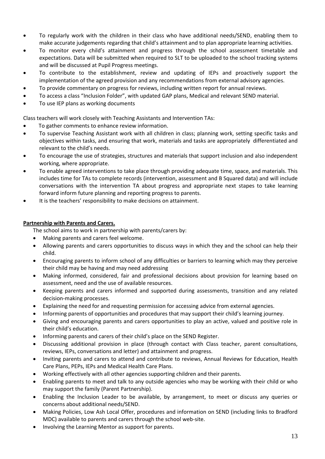- To regularly work with the children in their class who have additional needs/SEND, enabling them to make accurate judgements regarding that child's attainment and to plan appropriate learning activities.
- To monitor every child's attainment and progress through the school assessment timetable and expectations. Data will be submitted when required to SLT to be uploaded to the school tracking systems and will be discussed at Pupil Progress meetings.
- To contribute to the establishment, review and updating of IEPs and proactively support the implementation of the agreed provision and any recommendations from external advisory agencies.
- To provide commentary on progress for reviews, including written report for annual reviews.
- To access a class "Inclusion Folder", with updated GAP plans, Medical and relevant SEND material.
- To use IEP plans as working documents

Class teachers will work closely with Teaching Assistants and Intervention TAs:

- To gather comments to enhance review information.
- To supervise Teaching Assistant work with all children in class; planning work, setting specific tasks and objectives within tasks, and ensuring that work, materials and tasks are appropriately differentiated and relevant to the child's needs.
- To encourage the use of strategies, structures and materials that support inclusion and also independent working, where appropriate.
- To enable agreed interventions to take place through providing adequate time, space, and materials. This includes time for TAs to complete records (intervention, assessment and B Squared data) and will include conversations with the intervention TA about progress and appropriate next stapes to take learning forward inform future planning and reporting progress to parents.
- It is the teachers' responsibility to make decisions on attainment.

#### **Partnership with Parents and Carers.**

The school aims to work in partnership with parents/carers by:

- Making parents and carers feel welcome.
- Allowing parents and carers opportunities to discuss ways in which they and the school can help their child.
- Encouraging parents to inform school of any difficulties or barriers to learning which may they perceive their child may be having and may need addressing
- Making informed, considered, fair and professional decisions about provision for learning based on assessment, need and the use of available resources.
- Keeping parents and carers informed and supported during assessments, transition and any related decision-making processes.
- Explaining the need for and requesting permission for accessing advice from external agencies.
- Informing parents of opportunities and procedures that may support their child's learning journey.
- Giving and encouraging parents and carers opportunities to play an active, valued and positive role in their child's education.
- Informing parents and carers of their child's place on the SEND Register.
- Discussing additional provision in place (through contact with Class teacher, parent consultations, reviews, IEPs, conversations and letter) and attainment and progress.
- Inviting parents and carers to attend and contribute to reviews, Annual Reviews for Education, Health Care Plans, PEPs, IEPs and Medical Health Care Plans.
- Working effectively with all other agencies supporting children and their parents.
- Enabling parents to meet and talk to any outside agencies who may be working with their child or who may support the family (Parent Partnership).
- Enabling the Inclusion Leader to be available, by arrangement, to meet or discuss any queries or concerns about additional needs/SEND.
- Making Policies, Low Ash Local Offer, procedures and information on SEND (including links to Bradford MDC) available to parents and carers through the school web-site.
- Involving the Learning Mentor as support for parents.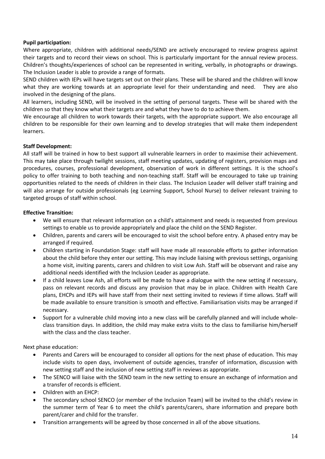#### **Pupil participation:**

Where appropriate, children with additional needs/SEND are actively encouraged to review progress against their targets and to record their views on school. This is particularly important for the annual review process. Children's thoughts/experiences of school can be represented in writing, verbally, in photographs or drawings. The Inclusion Leader is able to provide a range of formats.

SEND children with IEPs will have targets set out on their plans. These will be shared and the children will know what they are working towards at an appropriate level for their understanding and need. They are also involved in the designing of the plans.

All learners, including SEND, will be involved in the setting of personal targets. These will be shared with the children so that they know what their targets are and what they have to do to achieve them.

We encourage all children to work towards their targets, with the appropriate support. We also encourage all children to be responsible for their own learning and to develop strategies that will make them independent learners.

#### **Staff Development:**

All staff will be trained in how to best support all vulnerable learners in order to maximise their achievement. This may take place through twilight sessions, staff meeting updates, updating of registers, provision maps and procedures, courses, professional development, observation of work in different settings. It is the school's policy to offer training to both teaching and non-teaching staff. Staff will be encouraged to take up training opportunities related to the needs of children in their class. The Inclusion Leader will deliver staff training and will also arrange for outside professionals (eg Learning Support, School Nurse) to deliver relevant training to targeted groups of staff within school.

#### **Effective Transition:**

- We will ensure that relevant information on a child's attainment and needs is requested from previous settings to enable us to provide appropriately and place the child on the SEND Register.
- Children, parents and carers will be encouraged to visit the school before entry. A phased entry may be arranged if required.
- Children starting in Foundation Stage: staff will have made all reasonable efforts to gather information about the child before they enter our setting. This may include liaising with previous settings, organising a home visit, inviting parents, carers and children to visit Low Ash. Staff will be observant and raise any additional needs identified with the Inclusion Leader as appropriate.
- If a child leaves Low Ash, all efforts will be made to have a dialogue with the new setting if necessary, pass on relevant records and discuss any provision that may be in place. Children with Health Care plans, EHCPs and IEPs will have staff from their next setting invited to reviews if time allows. Staff will be made available to ensure transition is smooth and effective. Familiarisation visits may be arranged if necessary.
- Support for a vulnerable child moving into a new class will be carefully planned and will include wholeclass transition days. In addition, the child may make extra visits to the class to familiarise him/herself with the class and the class teacher.

Next phase education:

- Parents and Carers will be encouraged to consider all options for the next phase of education. This may include visits to open days, involvement of outside agencies, transfer of information, discussion with new setting staff and the inclusion of new setting staff in reviews as appropriate.
- The SENCO will liaise with the SEND team in the new setting to ensure an exchange of information and a transfer of records is efficient.
- Children with an EHCP:
- The secondary school SENCO (or member of the Inclusion Team) will be invited to the child's review in the summer term of Year 6 to meet the child's parents/carers, share information and prepare both parent/carer and child for the transfer.
- Transition arrangements will be agreed by those concerned in all of the above situations.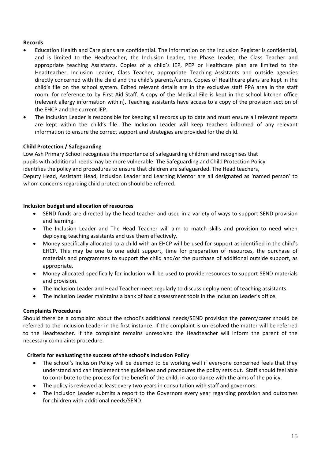#### **Records**

- Education Health and Care plans are confidential. The information on the Inclusion Register is confidential, and is limited to the Headteacher, the Inclusion Leader, the Phase Leader, the Class Teacher and appropriate teaching Assistants. Copies of a child's IEP, PEP or Healthcare plan are limited to the Headteacher, Inclusion Leader, Class Teacher, appropriate Teaching Assistants and outside agencies directly concerned with the child and the child's parents/carers. Copies of Healthcare plans are kept in the child's file on the school system. Edited relevant details are in the exclusive staff PPA area in the staff room, for reference to by First Aid Staff. A copy of the Medical File is kept in the school kitchen office (relevant allergy information within). Teaching assistants have access to a copy of the provision section of the EHCP and the current IEP.
- The Inclusion Leader is responsible for keeping all records up to date and must ensure all relevant reports are kept within the child's file. The Inclusion Leader will keep teachers informed of any relevant information to ensure the correct support and strategies are provided for the child.

#### **Child Protection / Safeguarding**

Low Ash Primary School recognises the importance of safeguarding children and recognises that pupils with additional needs may be more vulnerable. The Safeguarding and Child Protection Policy identifies the policy and procedures to ensure that children are safeguarded. The Head teachers, Deputy Head, Assistant Head, Inclusion Leader and Learning Mentor are all designated as 'named person' to whom concerns regarding child protection should be referred.

#### **Inclusion budget and allocation of resources**

- SEND funds are directed by the head teacher and used in a variety of ways to support SEND provision and learning.
- The Inclusion Leader and The Head Teacher will aim to match skills and provision to need when deploying teaching assistants and use them effectively.
- Money specifically allocated to a child with an EHCP will be used for support as identified in the child's EHCP. This may be one to one adult support, time for preparation of resources, the purchase of materials and programmes to support the child and/or the purchase of additional outside support, as appropriate.
- Money allocated specifically for inclusion will be used to provide resources to support SEND materials and provision.
- The Inclusion Leader and Head Teacher meet regularly to discuss deployment of teaching assistants.
- The Inclusion Leader maintains a bank of basic assessment tools in the Inclusion Leader's office.

#### **Complaints Procedures**

Should there be a complaint about the school's additional needs/SEND provision the parent/carer should be referred to the Inclusion Leader in the first instance. If the complaint is unresolved the matter will be referred to the Headteacher. If the complaint remains unresolved the Headteacher will inform the parent of the necessary complaints procedure.

#### **Criteria for evaluating the success of the school's Inclusion Policy**

- The school's Inclusion Policy will be deemed to be working well if everyone concerned feels that they understand and can implement the guidelines and procedures the policy sets out. Staff should feel able to contribute to the process for the benefit of the child, in accordance with the aims of the policy.
- The policy is reviewed at least every two years in consultation with staff and governors.
- The Inclusion Leader submits a report to the Governors every year regarding provision and outcomes for children with additional needs/SEND.